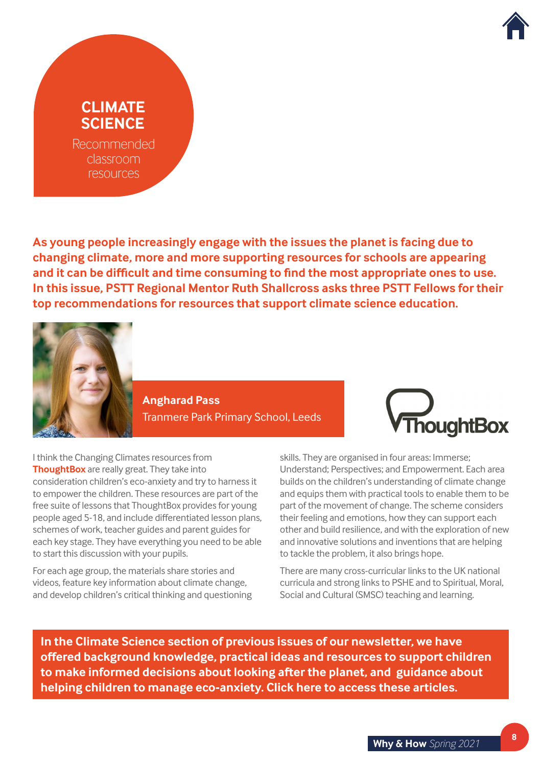

## **CLIMATE SCIENCE**

Recommended classroom resources

**As young people increasingly engage with the issues the planet is facing due to changing climate, more and more supporting resources for schools are appearing and it can be difficult and time consuming to find the most appropriate ones to use. In this issue, PSTT Regional Mentor Ruth Shallcross asks three PSTT Fellows for their top recommendations for resources that support climate science education.**



**Angharad Pass**  Tranmere Park Primary School, Leeds



I think the Changing Climates resources from **[ThoughtBox](https://www.thoughtboxeducation.com/)** are really great. They take into consideration children's eco-anxiety and try to harness it to empower the children. These resources are part of the free suite of lessons that ThoughtBox provides for young people aged 5-18, and include differentiated lesson plans, schemes of work, teacher guides and parent guides for each key stage. They have everything you need to be able to start this discussion with your pupils.

For each age group, the materials share stories and videos, feature key information about climate change, and develop children's critical thinking and questioning skills. They are organised in four areas: Immerse; Understand; Perspectives; and Empowerment. Each area builds on the children's understanding of climate change and equips them with practical tools to enable them to be part of the movement of change. The scheme considers their feeling and emotions, how they can support each other and build resilience, and with the exploration of new and innovative solutions and inventions that are helping to tackle the problem, it also brings hope.

There are many cross-curricular links to the UK national curricula and strong links to PSHE and to Spiritual, Moral, Social and Cultural (SMSC) teaching and learning.

**In the Climate Science section of previous issues of our newsletter, we have offered background knowledge, practical ideas and resources to support children to make informed decisions about looking after the planet, and guidance about helping children to manage eco-anxiety. [Click here](https://pstt.org.uk/what-we-do/why-how-newsletter) to access these articles.**